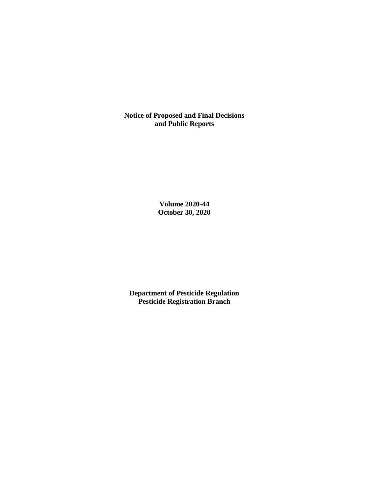**Notice of Proposed and Final Decisions and Public Reports**

> **Volume 2020-44 October 30, 2020**

**Department of Pesticide Regulation Pesticide Registration Branch**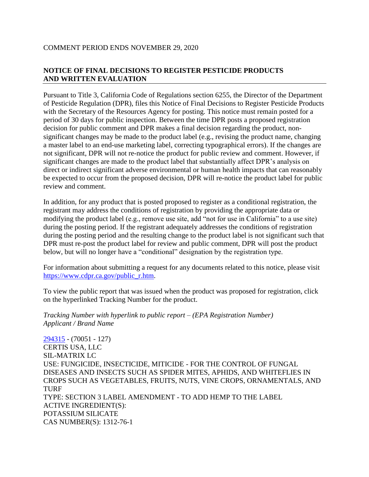## COMMENT PERIOD ENDS NOVEMBER 29, 2020

## **NOTICE OF FINAL DECISIONS TO REGISTER PESTICIDE PRODUCTS AND WRITTEN EVALUATION**

Pursuant to Title 3, California Code of Regulations section 6255, the Director of the Department of Pesticide Regulation (DPR), files this Notice of Final Decisions to Register Pesticide Products with the Secretary of the Resources Agency for posting. This notice must remain posted for a period of 30 days for public inspection. Between the time DPR posts a proposed registration decision for public comment and DPR makes a final decision regarding the product, nonsignificant changes may be made to the product label (e.g., revising the product name, changing a master label to an end-use marketing label, correcting typographical errors). If the changes are not significant, DPR will not re-notice the product for public review and comment. However, if significant changes are made to the product label that substantially affect DPR's analysis on direct or indirect significant adverse environmental or human health impacts that can reasonably be expected to occur from the proposed decision, DPR will re-notice the product label for public review and comment.

In addition, for any product that is posted proposed to register as a conditional registration, the registrant may address the conditions of registration by providing the appropriate data or modifying the product label (e.g., remove use site, add "not for use in California" to a use site) during the posting period. If the registrant adequately addresses the conditions of registration during the posting period and the resulting change to the product label is not significant such that DPR must re-post the product label for review and public comment, DPR will post the product below, but will no longer have a "conditional" designation by the registration type.

For information about submitting a request for any documents related to this notice, please visit [https://www.cdpr.ca.gov/public\\_r.htm.](https://www.cdpr.ca.gov/public_r.htm)

To view the public report that was issued when the product was proposed for registration, click on the hyperlinked Tracking Number for the product.

*Tracking Number with hyperlink to public report – (EPA Registration Number) Applicant / Brand Name*

[294315](https://www.cdpr.ca.gov/docs/registration/nod/public_reports/294315.pdf) - (70051 - 127) CERTIS USA, LLC SIL-MATRIX LC USE: FUNGICIDE, INSECTICIDE, MITICIDE - FOR THE CONTROL OF FUNGAL DISEASES AND INSECTS SUCH AS SPIDER MITES, APHIDS, AND WHITEFLIES IN CROPS SUCH AS VEGETABLES, FRUITS, NUTS, VINE CROPS, ORNAMENTALS, AND TURF TYPE: SECTION 3 LABEL AMENDMENT - TO ADD HEMP TO THE LABEL ACTIVE INGREDIENT(S): POTASSIUM SILICATE CAS NUMBER(S): 1312-76-1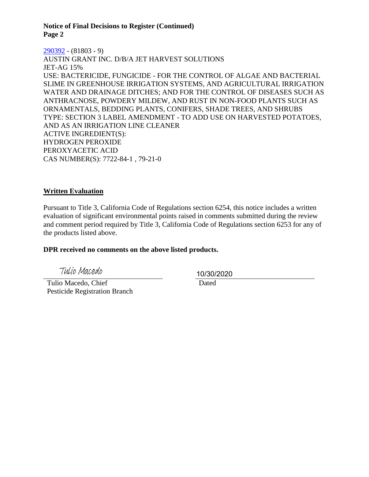**Notice of Final Decisions to Register (Continued) Page 2**

[290392](https://www.cdpr.ca.gov/docs/registration/nod/public_reports/290392.pdf) - (81803 - 9) AUSTIN GRANT INC. D/B/A JET HARVEST SOLUTIONS JET-AG 15% USE: BACTERICIDE, FUNGICIDE - FOR THE CONTROL OF ALGAE AND BACTERIAL SLIME IN GREENHOUSE IRRIGATION SYSTEMS, AND AGRICULTURAL IRRIGATION WATER AND DRAINAGE DITCHES; AND FOR THE CONTROL OF DISEASES SUCH AS ANTHRACNOSE, POWDERY MILDEW, AND RUST IN NON-FOOD PLANTS SUCH AS ORNAMENTALS, BEDDING PLANTS, CONIFERS, SHADE TREES, AND SHRUBS TYPE: SECTION 3 LABEL AMENDMENT - TO ADD USE ON HARVESTED POTATOES, AND AS AN IRRIGATION LINE CLEANER ACTIVE INGREDIENT(S): HYDROGEN PEROXIDE PEROXYACETIC ACID CAS NUMBER(S): 7722-84-1 , 79-21-0

## **Written Evaluation**

Pursuant to Title 3, California Code of Regulations section 6254, this notice includes a written evaluation of significant environmental points raised in comments submitted during the review and comment period required by Title 3, California Code of Regulations section 6253 for any of the products listed above.

#### **DPR received no comments on the above listed products.**

Tulio Macedo

 Tulio Macedo, Chief Pesticide Registration Branch 10/30/2020

**Dated**